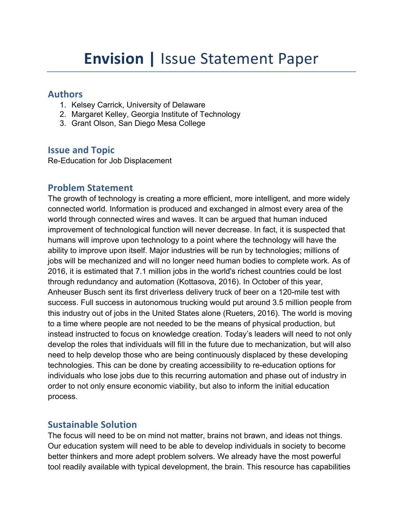### **Authors**

- 1. Kelsey Carrick, University of Delaware
- 2. Margaret Kelley, Georgia Institute of Technology
- 3. Grant Olson, San Diego Mesa College

# **Issue and Topic**

Re-Education for Job Displacement

## **Problem Statement**

The growth of technology is creating a more efficient, more intelligent, and more widely connected world. Information is produced and exchanged in almost every area of the world through connected wires and waves. It can be argued that human induced improvement of technological function will never decrease. In fact, it is suspected that humans will improve upon technology to a point where the technology will have the ability to improve upon itself. Major industries will be run by technologies; millions of jobs will be mechanized and will no longer need human bodies to complete work. As of 2016, it is estimated that 7.1 million jobs in the world's richest countries could be lost through redundancy and automation (Kottasova, 2016). In October of this year, Anheuser Busch sent its first driverless delivery truck of beer on a 120-mile test with success. Full success in autonomous trucking would put around 3.5 million people from this industry out of jobs in the United States alone (Rueters, 2016). The world is moving to a time where people are not needed to be the means of physical production, but instead instructed to focus on knowledge creation. Today's leaders will need to not only develop the roles that individuals will fill in the future due to mechanization, but will also need to help develop those who are being continuously displaced by these developing technologies. This can be done by creating accessibility to re-education options for individuals who lose jobs due to this recurring automation and phase out of industry in order to not only ensure economic viability, but also to inform the initial education process.

# **Sustainable Solution**

The focus will need to be on mind not matter, brains not brawn, and ideas not things. Our education system will need to be able to develop individuals in society to become better thinkers and more adept problem solvers. We already have the most powerful tool readily available with typical development, the brain. This resource has capabilities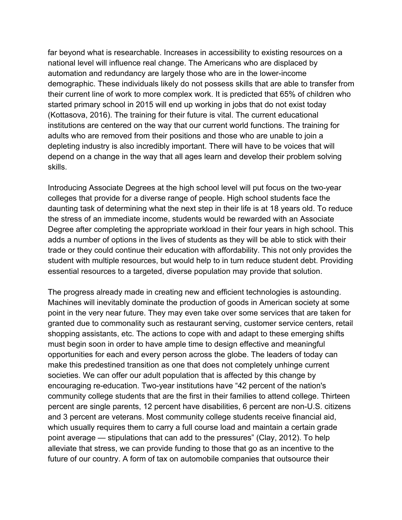far beyond what is researchable. Increases in accessibility to existing resources on a national level will influence real change. The Americans who are displaced by automation and redundancy are largely those who are in the lower-income demographic. These individuals likely do not possess skills that are able to transfer from their current line of work to more complex work. It is predicted that 65% of children who started primary school in 2015 will end up working in jobs that do not exist today (Kottasova, 2016). The training for their future is vital. The current educational institutions are centered on the way that our current world functions. The training for adults who are removed from their positions and those who are unable to join a depleting industry is also incredibly important. There will have to be voices that will depend on a change in the way that all ages learn and develop their problem solving skills.

Introducing Associate Degrees at the high school level will put focus on the two-year colleges that provide for a diverse range of people. High school students face the daunting task of determining what the next step in their life is at 18 years old. To reduce the stress of an immediate income, students would be rewarded with an Associate Degree after completing the appropriate workload in their four years in high school. This adds a number of options in the lives of students as they will be able to stick with their trade or they could continue their education with affordability. This not only provides the student with multiple resources, but would help to in turn reduce student debt. Providing essential resources to a targeted, diverse population may provide that solution.

The progress already made in creating new and efficient technologies is astounding. Machines will inevitably dominate the production of goods in American society at some point in the very near future. They may even take over some services that are taken for granted due to commonality such as restaurant serving, customer service centers, retail shopping assistants, etc. The actions to cope with and adapt to these emerging shifts must begin soon in order to have ample time to design effective and meaningful opportunities for each and every person across the globe. The leaders of today can make this predestined transition as one that does not completely unhinge current societies. We can offer our adult population that is affected by this change by encouraging re-education. Two-year institutions have "42 percent of the nation's community college students that are the first in their families to attend college. Thirteen percent are single parents, 12 percent have disabilities, 6 percent are non-U.S. citizens and 3 percent are veterans. Most community college students receive financial aid, which usually requires them to carry a full course load and maintain a certain grade point average — stipulations that can add to the pressures" (Clay, 2012). To help alleviate that stress, we can provide funding to those that go as an incentive to the future of our country. A form of tax on automobile companies that outsource their